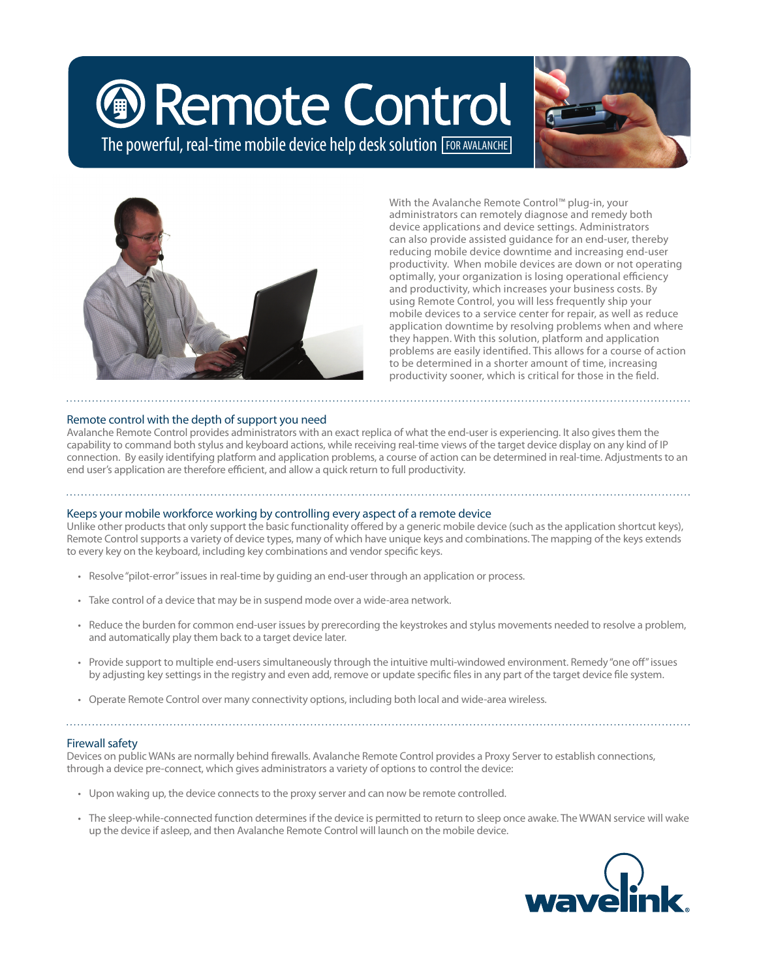# **D** Remote Control

The powerful, real-time mobile device help desk solution **FOR AVALANCHE** 





With the Avalanche Remote Control™ plug-in, your administrators can remotely diagnose and remedy both device applications and device settings. Administrators can also provide assisted guidance for an end-user, thereby reducing mobile device downtime and increasing end-user productivity. When mobile devices are down or not operating optimally, your organization is losing operational efficiency and productivity, which increases your business costs. By using Remote Control, you will less frequently ship your mobile devices to a service center for repair, as well as reduce application downtime by resolving problems when and where they happen. With this solution, platform and application problems are easily identified. This allows for a course of action to be determined in a shorter amount of time, increasing productivity sooner, which is critical for those in the field.

# Remote control with the depth of support you need

Avalanche Remote Control provides administrators with an exact replica of what the end-user is experiencing. It also gives them the capability to command both stylus and keyboard actions, while receiving real-time views of the target device display on any kind of IP connection. By easily identifying platform and application problems, a course of action can be determined in real-time. Adjustments to an end user's application are therefore efficient, and allow a quick return to full productivity.

#### Keeps your mobile workforce working by controlling every aspect of a remote device

Unlike other products that only support the basic functionality offered by a generic mobile device (such as the application shortcut keys), Remote Control supports a variety of device types, many of which have unique keys and combinations. The mapping of the keys extends to every key on the keyboard, including key combinations and vendor specific keys.

- • Resolve"pilot-error"issuesin real-time by guiding an end-user through an application or process.
- • Take control of a device that may be in suspend mode over a wide-area network.
- • Reduce the burden for common end-user issues by prerecording the keystrokes and stylus movements needed to resolve a problem, and automatically play them back to a target device later.
- Provide support to multiple end-users simultaneously through the intuitive multi-windowed environment. Remedy "one off" issues by adjusting key settings in the registry and even add, remove or update specific files in any part of the target device file system.

• Operate Remote Control over many connectivity options, including both local and wide-area wireless.

#### Firewall safety

Devices on public WANs are normally behind firewalls. Avalanche Remote Control provides a Proxy Server to establish connections, through a device pre-connect, which gives administrators a variety of options to control the device:

- Upon waking up, the device connects to the proxy server and can now be remote controlled.
- The sleep-while-connected function determines if the device is permitted to return to sleep once awake. The WWAN service will wake up the device if asleep, and then Avalanche Remote Control will launch on the mobile device.